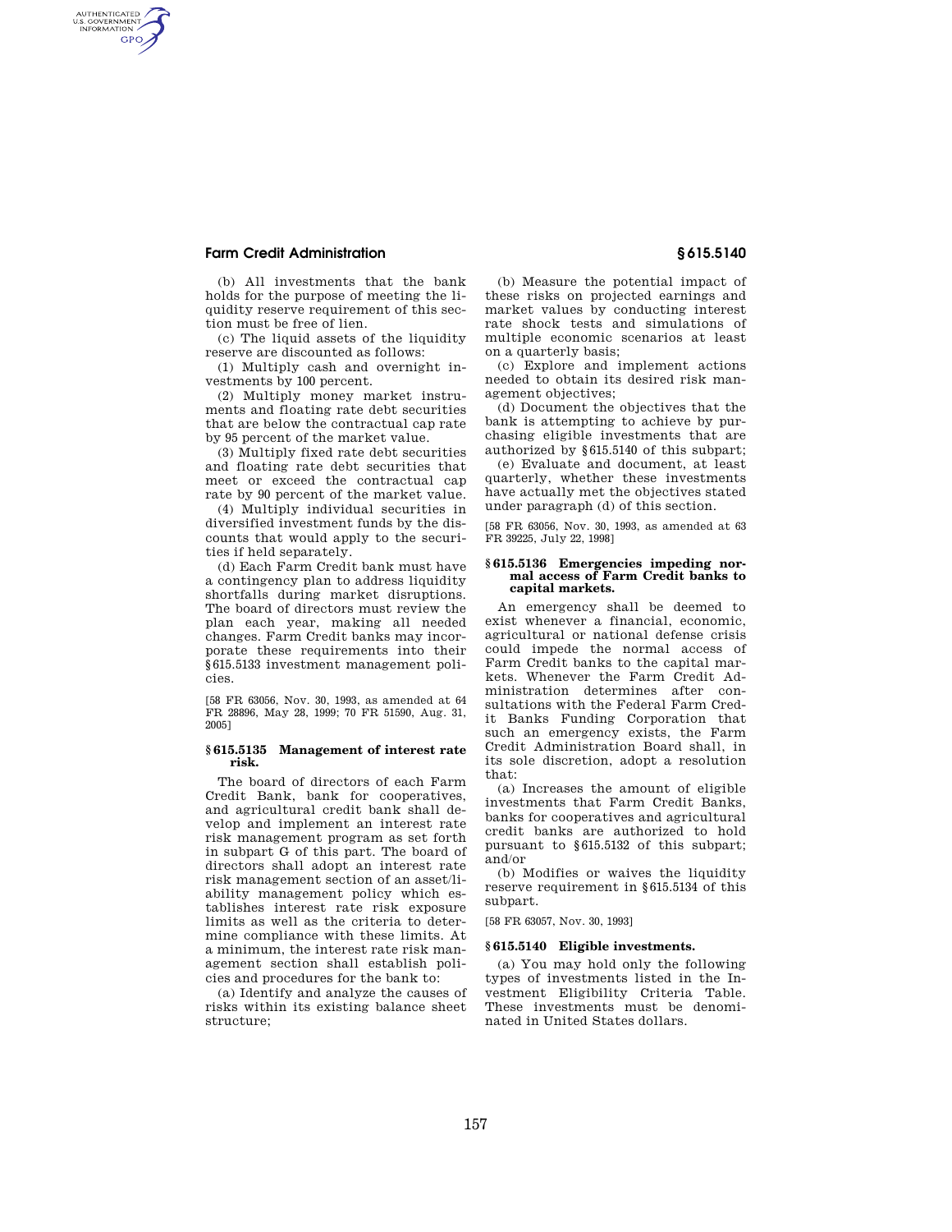## **Farm Credit Administration § 615.5140**

AUTHENTICATED<br>U.S. GOVERNMENT<br>INFORMATION GPO

> (b) All investments that the bank holds for the purpose of meeting the liquidity reserve requirement of this section must be free of lien.

(c) The liquid assets of the liquidity reserve are discounted as follows:

(1) Multiply cash and overnight investments by 100 percent.

(2) Multiply money market instruments and floating rate debt securities that are below the contractual cap rate by 95 percent of the market value.

(3) Multiply fixed rate debt securities and floating rate debt securities that meet or exceed the contractual cap rate by 90 percent of the market value.

(4) Multiply individual securities in diversified investment funds by the discounts that would apply to the securities if held separately.

(d) Each Farm Credit bank must have a contingency plan to address liquidity shortfalls during market disruptions. The board of directors must review the plan each year, making all needed changes. Farm Credit banks may incorporate these requirements into their §615.5133 investment management policies.

[58 FR 63056, Nov. 30, 1993, as amended at 64 FR 28896, May 28, 1999; 70 FR 51590, Aug. 31, 2005]

## **§ 615.5135 Management of interest rate risk.**

The board of directors of each Farm Credit Bank, bank for cooperatives, and agricultural credit bank shall develop and implement an interest rate risk management program as set forth in subpart G of this part. The board of directors shall adopt an interest rate risk management section of an asset/liability management policy which establishes interest rate risk exposure limits as well as the criteria to determine compliance with these limits. At a minimum, the interest rate risk management section shall establish policies and procedures for the bank to:

(a) Identify and analyze the causes of risks within its existing balance sheet structure;

(b) Measure the potential impact of these risks on projected earnings and market values by conducting interest rate shock tests and simulations of multiple economic scenarios at least on a quarterly basis;

(c) Explore and implement actions needed to obtain its desired risk management objectives;

(d) Document the objectives that the bank is attempting to achieve by purchasing eligible investments that are authorized by §615.5140 of this subpart;

(e) Evaluate and document, at least quarterly, whether these investments have actually met the objectives stated under paragraph (d) of this section.

[58 FR 63056, Nov. 30, 1993, as amended at 63 FR 39225, July 22, 1998]

### **§ 615.5136 Emergencies impeding normal access of Farm Credit banks to capital markets.**

An emergency shall be deemed to exist whenever a financial, economic, agricultural or national defense crisis could impede the normal access of Farm Credit banks to the capital markets. Whenever the Farm Credit Administration determines after consultations with the Federal Farm Credit Banks Funding Corporation that such an emergency exists, the Farm Credit Administration Board shall, in its sole discretion, adopt a resolution that:

(a) Increases the amount of eligible investments that Farm Credit Banks, banks for cooperatives and agricultural credit banks are authorized to hold pursuant to §615.5132 of this subpart; and/or

(b) Modifies or waives the liquidity reserve requirement in §615.5134 of this subpart.

[58 FR 63057, Nov. 30, 1993]

## **§ 615.5140 Eligible investments.**

(a) You may hold only the following types of investments listed in the Investment Eligibility Criteria Table. These investments must be denominated in United States dollars.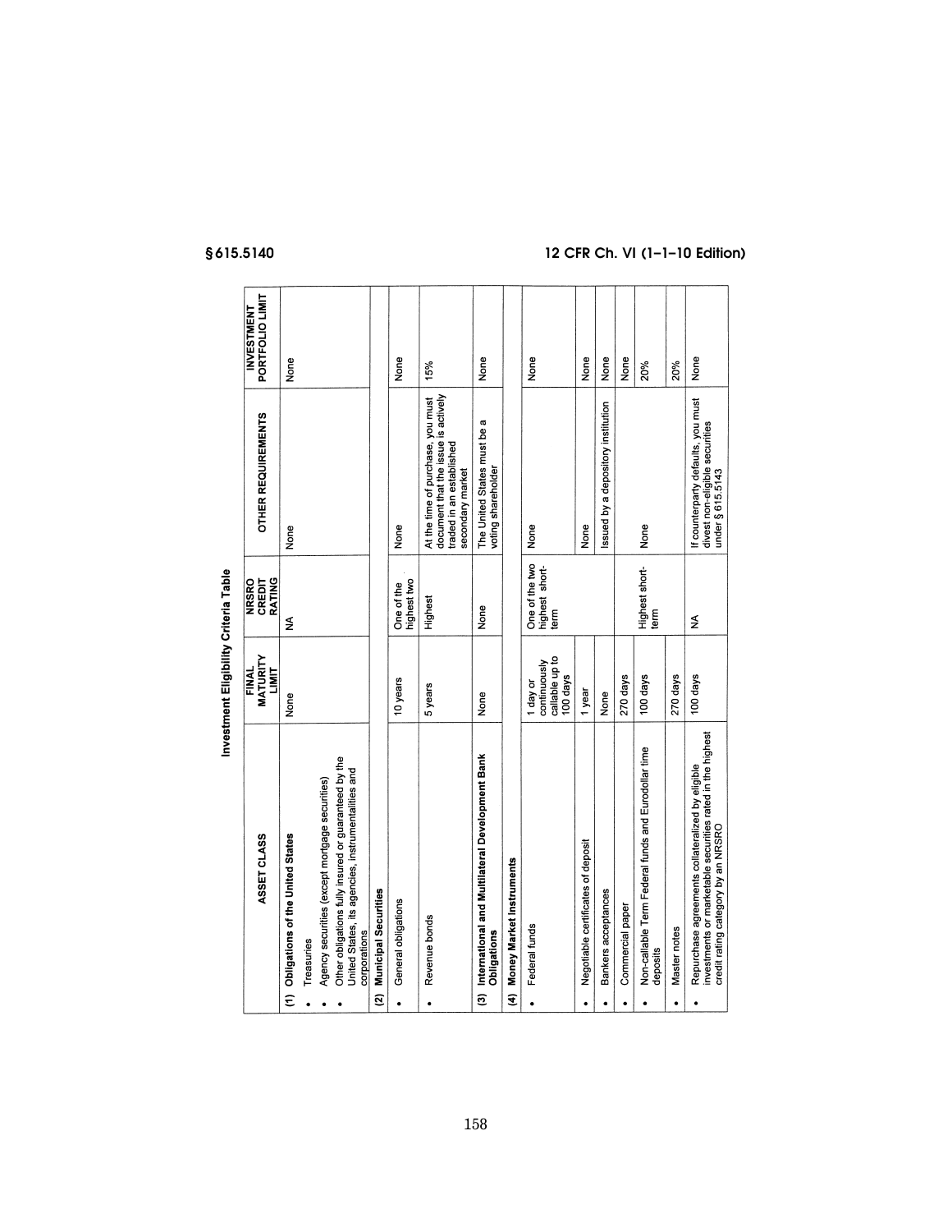|                | ASSET CLASS                                                                                                                                         | <b>MATURITY</b><br>FINAL<br>LIMIT                      | <b>NRSRO</b><br>CREDIT<br><b>RATING</b>  | <b>OTHER REQUIREMENTS</b>                                                                                                | PORTFOLIO LIMIT<br>INVESTMENT |
|----------------|-----------------------------------------------------------------------------------------------------------------------------------------------------|--------------------------------------------------------|------------------------------------------|--------------------------------------------------------------------------------------------------------------------------|-------------------------------|
| Ξ              | <b>Obligations of the United States</b>                                                                                                             | None                                                   | ≨                                        | None                                                                                                                     | None                          |
|                | Treasuries                                                                                                                                          |                                                        |                                          |                                                                                                                          |                               |
|                | Agency securities (except mortgage securities)                                                                                                      |                                                        |                                          |                                                                                                                          |                               |
|                | Other obligations fully insured or guaranteed by the<br>United States, its agencies, instrumentalities and<br>corporations                          |                                                        |                                          |                                                                                                                          |                               |
| $\overline{a}$ | <b>Municipal Securities</b>                                                                                                                         |                                                        |                                          |                                                                                                                          |                               |
| $\bullet$      | General obligations                                                                                                                                 | 10 years                                               | highest two<br>One of the                | None                                                                                                                     | None                          |
| $\bullet$      | Revenue bonds                                                                                                                                       | 5 years                                                | Highest                                  | document that the issue is actively<br>At the time of purchase, you must<br>traded in an established<br>secondary market | 15%                           |
| වි             | International and Multilateral Development Bank<br><b>Obligations</b>                                                                               | None                                                   | None                                     | The United States must be a<br>voting shareholder                                                                        | None                          |
| E              | Money Market Instruments                                                                                                                            |                                                        |                                          |                                                                                                                          |                               |
| $\bullet$      | Federal funds                                                                                                                                       | callable up to<br>continuously<br>100 days<br>I day or | One of the two<br>highest short-<br>term | None                                                                                                                     | None                          |
| ٠              | Negotiable certificates of deposit                                                                                                                  | 1 year                                                 |                                          | None                                                                                                                     | None                          |
|                | Bankers acceptances                                                                                                                                 | None                                                   |                                          | issued by a depository institution                                                                                       | None                          |
| ٠              | Commercial paper                                                                                                                                    | 270 days                                               |                                          |                                                                                                                          | None                          |
|                | Non-callable Term Federal funds and Eurodollar time<br>deposits                                                                                     | 100 days                                               | Highest short-<br>term                   | None                                                                                                                     | 20%                           |
| ٠              | Master notes                                                                                                                                        | 270 days                                               |                                          |                                                                                                                          | 20%                           |
|                | investments or marketable securities rated in the highest<br>Repurchase agreements collateralized by eligible<br>credit rating category by an NRSRO | 100 days                                               | ≨                                        | If counterparty defaults, you must<br>divest non-eligible securities<br>under § 615.5143                                 | None                          |

Investment Eligibility Criteria Table

# **§ 615.5140 12 CFR Ch. VI (1–1–10 Edition)**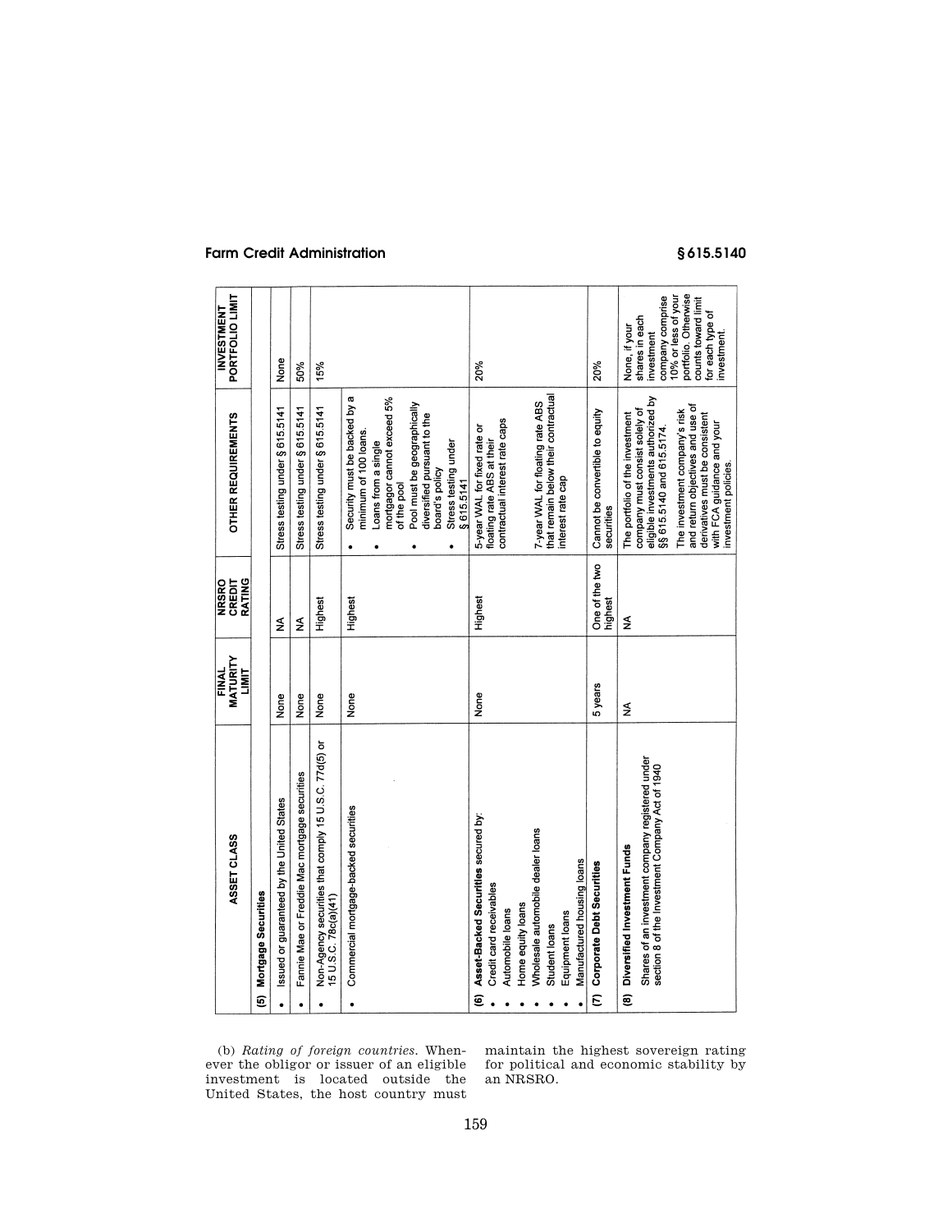## **Farm Credit Administration § 615.5140**

|            | ASSET CLASS                                                                                                                         | MATURITY<br>FINAL<br>LIMIT | RATING<br>NRSRO<br>CREDIT | OTHER REQUIREMENTS                                                                                                                                                                                                                                                                                | PORTFOLIO LIMIT<br><b>INVESTMENT</b>                                                                                                                                     |
|------------|-------------------------------------------------------------------------------------------------------------------------------------|----------------------------|---------------------------|---------------------------------------------------------------------------------------------------------------------------------------------------------------------------------------------------------------------------------------------------------------------------------------------------|--------------------------------------------------------------------------------------------------------------------------------------------------------------------------|
| ම          | Mortgage Securities                                                                                                                 |                            |                           |                                                                                                                                                                                                                                                                                                   |                                                                                                                                                                          |
| $\bullet$  | Issued or guaranteed by the United States                                                                                           | None                       | $\frac{1}{2}$             | Stress testing under § 615.5141                                                                                                                                                                                                                                                                   | None                                                                                                                                                                     |
| $\bullet$  | Fannie Mae or Freddie Mac mortgage securities                                                                                       | None                       | ≨                         | Stress testing under § 615.5141                                                                                                                                                                                                                                                                   | 50%                                                                                                                                                                      |
|            | Non-Agency securities that comply 15 U.S.C. 77d(5) or<br>15 U.S.C. 78c(a)(41)                                                       | None                       | Highest                   | Stress testing under § 615.5141                                                                                                                                                                                                                                                                   | 15%                                                                                                                                                                      |
|            | Commercial mortgage-backed securities                                                                                               | None                       | Highest                   | Security must be backed by a<br>mortgagor cannot exceed 5%<br>Pool must be geographically<br>diversified pursuant to the<br>minimum of 100 loans.<br>Stress testing under<br>Loans from a single<br>board's policy<br>\$615.5141<br>of the pool                                                   |                                                                                                                                                                          |
| ම          | Asset-Backed Securities secured by:<br>Credit card receivables<br>Home equity loans<br>Automobile loans                             | None                       | Highest                   | contractual interest rate caps<br>5-year WAL for fixed rate or<br>floating rate ABS at their                                                                                                                                                                                                      | 20%                                                                                                                                                                      |
|            | Wholesale automobile dealer loans<br>Manufactured housing loans<br>Equipment loans<br>Student loans                                 |                            |                           | that remain below their contractual<br>7-year WAL for floating rate ABS<br>nterest rate cap                                                                                                                                                                                                       |                                                                                                                                                                          |
| $\epsilon$ | <b>Corporate Debt Securities</b>                                                                                                    | 5 years                    | One of the two<br>highest | Cannot be convertible to equity<br>securities                                                                                                                                                                                                                                                     | 20%                                                                                                                                                                      |
| ම          | Shares of an investment company registered under<br>section 8 of the Investment Company Act of 1940<br>Diversified Investment Funds | ≸                          | ≸                         | eligible investments authorized by<br>and return objectives and use of<br>company must consist solely of<br>The investment company's risk<br>The portfolio of the investment<br>derivatives must be consistent<br>with FCA guidance and your<br>§§ 615.5140 and 615.5174.<br>investment policies. | portfolio. Otherwise<br>10% or less of your<br>company comprise<br>counts toward limit<br>for each type of<br>shares in each<br>None, if your<br>investment<br>nvestment |

(b) *Rating of foreign countries.* Whenever the obligor or issuer of an eligible investment is located outside the United States, the host country must maintain the highest sovereign rating for political and economic stability by an NRSRO.